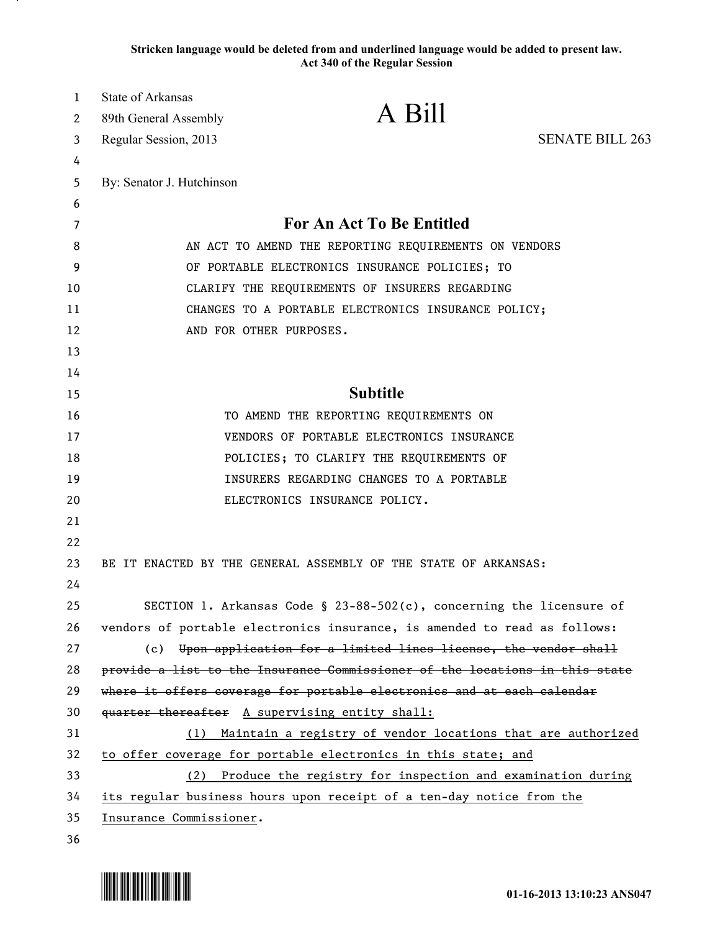**Stricken language would be deleted from and underlined language would be added to present law. Act 340 of the Regular Session**

| $\mathbf{1}$ | <b>State of Arkansas</b>                                             |                                                                             |                        |
|--------------|----------------------------------------------------------------------|-----------------------------------------------------------------------------|------------------------|
| 2            | 89th General Assembly                                                | A Bill                                                                      |                        |
| 3            | Regular Session, 2013                                                |                                                                             | <b>SENATE BILL 263</b> |
| 4            |                                                                      |                                                                             |                        |
| 5            | By: Senator J. Hutchinson                                            |                                                                             |                        |
| 6            |                                                                      |                                                                             |                        |
| 7            | <b>For An Act To Be Entitled</b>                                     |                                                                             |                        |
| 8            | AN ACT TO AMEND THE REPORTING REQUIREMENTS ON VENDORS                |                                                                             |                        |
| 9            | OF PORTABLE ELECTRONICS INSURANCE POLICIES; TO                       |                                                                             |                        |
| 10           | CLARIFY THE REQUIREMENTS OF INSURERS REGARDING                       |                                                                             |                        |
| 11           | CHANGES TO A PORTABLE ELECTRONICS INSURANCE POLICY;                  |                                                                             |                        |
| 12           |                                                                      | AND FOR OTHER PURPOSES.                                                     |                        |
| 13           |                                                                      |                                                                             |                        |
| 14           |                                                                      |                                                                             |                        |
| 15           |                                                                      | <b>Subtitle</b>                                                             |                        |
| 16           |                                                                      | TO AMEND THE REPORTING REQUIREMENTS ON                                      |                        |
| 17           | VENDORS OF PORTABLE ELECTRONICS INSURANCE                            |                                                                             |                        |
| 18           |                                                                      | POLICIES; TO CLARIFY THE REQUIREMENTS OF                                    |                        |
| 19           |                                                                      | INSURERS REGARDING CHANGES TO A PORTABLE                                    |                        |
| 20           |                                                                      | ELECTRONICS INSURANCE POLICY.                                               |                        |
| 21           |                                                                      |                                                                             |                        |
| 22           |                                                                      |                                                                             |                        |
| 23           |                                                                      | BE IT ENACTED BY THE GENERAL ASSEMBLY OF THE STATE OF ARKANSAS:             |                        |
| 24           |                                                                      |                                                                             |                        |
| 25           |                                                                      | SECTION 1. Arkansas Code § 23-88-502(c), concerning the licensure of        |                        |
| 26           |                                                                      | vendors of portable electronics insurance, is amended to read as follows:   |                        |
| 27           |                                                                      | (c) Upon application for a limited lines license, the vendor shall          |                        |
| 28           |                                                                      | provide a list to the Insurance Commissioner of the locations in this state |                        |
| 29           |                                                                      | where it offers coverage for portable electronics and at each calendar      |                        |
| 30           |                                                                      | quarter thereafter A supervising entity shall:                              |                        |
| 31           | (1)                                                                  | Maintain a registry of vendor locations that are authorized                 |                        |
| 32           |                                                                      | to offer coverage for portable electronics in this state; and               |                        |
| 33           | (2)                                                                  | Produce the registry for inspection and examination during                  |                        |
| 34           | its regular business hours upon receipt of a ten-day notice from the |                                                                             |                        |
| 35           | Insurance Commissioner.                                              |                                                                             |                        |
| 36           |                                                                      |                                                                             |                        |